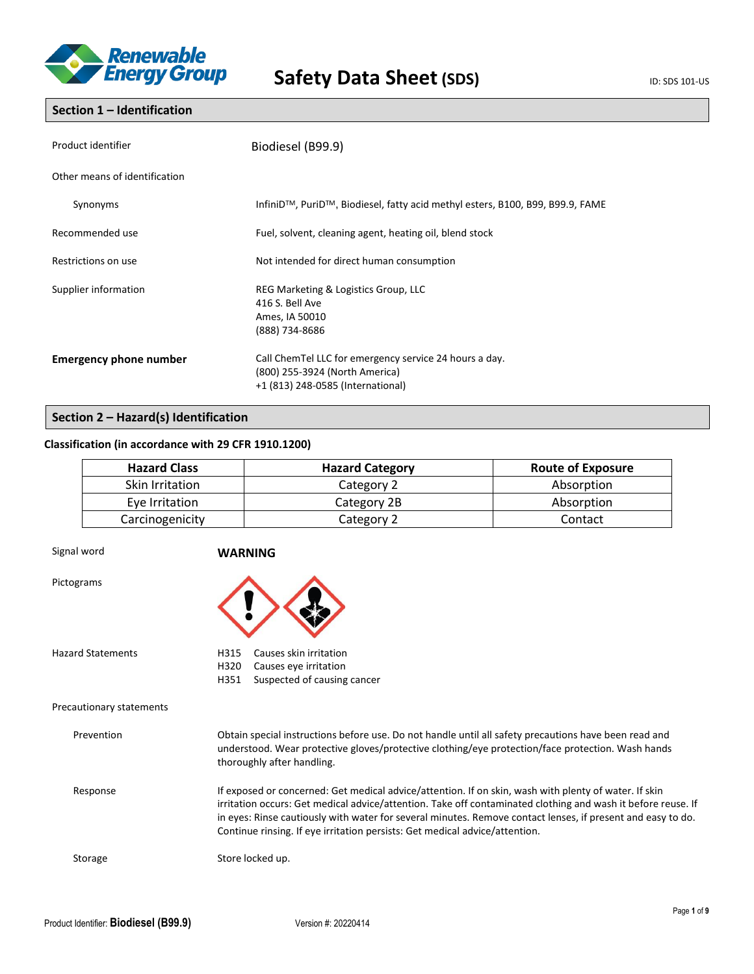

## **Section 1 – Identification**

| Product identifier            | Biodiesel (B99.9)                                                                                                             |  |
|-------------------------------|-------------------------------------------------------------------------------------------------------------------------------|--|
| Other means of identification |                                                                                                                               |  |
| Synonyms                      | InfiniD <sup>™</sup> , PuriD <sup>™</sup> , Biodiesel, fatty acid methyl esters, B100, B99, B99.9, FAME                       |  |
| Recommended use               | Fuel, solvent, cleaning agent, heating oil, blend stock                                                                       |  |
| Restrictions on use           | Not intended for direct human consumption                                                                                     |  |
| Supplier information          | REG Marketing & Logistics Group, LLC<br>416 S. Bell Ave<br>Ames, IA 50010<br>(888) 734-8686                                   |  |
| <b>Emergency phone number</b> | Call ChemTel LLC for emergency service 24 hours a day.<br>(800) 255-3924 (North America)<br>+1 (813) 248-0585 (International) |  |

## **Section 2 – Hazard(s) Identification**

## **Classification (in accordance with 29 CFR 1910.1200)**

| <b>Hazard Class</b> | <b>Hazard Category</b> | <b>Route of Exposure</b> |
|---------------------|------------------------|--------------------------|
| Skin Irritation     | Category 2             | Absorption               |
| Eye Irritation      | Category 2B            | Absorption               |
| Carcinogenicity     | Category 2             | Contact                  |

| Signal word              | <b>WARNING</b>                                                                                                                                                                                                                                                                                                                                                                                                      |
|--------------------------|---------------------------------------------------------------------------------------------------------------------------------------------------------------------------------------------------------------------------------------------------------------------------------------------------------------------------------------------------------------------------------------------------------------------|
| Pictograms               |                                                                                                                                                                                                                                                                                                                                                                                                                     |
| <b>Hazard Statements</b> | Causes skin irritation<br>H315<br>H320<br>Causes eye irritation<br>H351<br>Suspected of causing cancer                                                                                                                                                                                                                                                                                                              |
| Precautionary statements |                                                                                                                                                                                                                                                                                                                                                                                                                     |
| Prevention               | Obtain special instructions before use. Do not handle until all safety precautions have been read and<br>understood. Wear protective gloves/protective clothing/eye protection/face protection. Wash hands<br>thoroughly after handling.                                                                                                                                                                            |
| Response                 | If exposed or concerned: Get medical advice/attention. If on skin, wash with plenty of water. If skin<br>irritation occurs: Get medical advice/attention. Take off contaminated clothing and wash it before reuse. If<br>in eyes: Rinse cautiously with water for several minutes. Remove contact lenses, if present and easy to do.<br>Continue rinsing. If eye irritation persists: Get medical advice/attention. |
| Storage                  | Store locked up.                                                                                                                                                                                                                                                                                                                                                                                                    |
|                          |                                                                                                                                                                                                                                                                                                                                                                                                                     |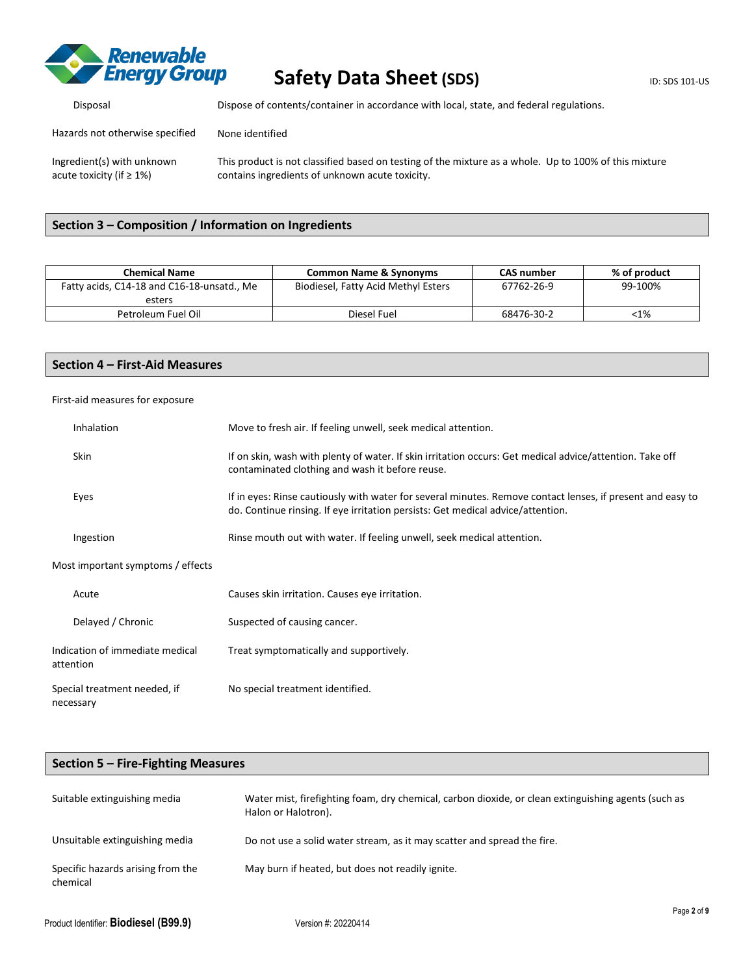

acute toxicity (if ≥ 1%)

## **Safety Data Sheet (SDS)** ID: SDS 101-US

Disposal Dispose of contents/container in accordance with local, state, and federal regulations.

Hazards not otherwise specified None identified

Ingredient(s) with unknown This product is not classified based on testing of the mixture as a whole. Up to 100% of this mixture contains ingredients of unknown acute toxicity.

## **Section 3 – Composition / Information on Ingredients**

| <b>Chemical Name</b>                       | <b>Common Name &amp; Synonyms</b>   | <b>CAS</b> number | % of product |
|--------------------------------------------|-------------------------------------|-------------------|--------------|
| Fatty acids, C14-18 and C16-18-unsatd., Me | Biodiesel, Fatty Acid Methyl Esters | 67762-26-9        | 99-100%      |
| esters                                     |                                     |                   |              |
| Petroleum Fuel Oil                         | Diesel Fuel                         | 68476-30-2        | <1%          |

## **Section 4 – First-Aid Measures**

### First-aid measures for exposure

| <b>Inhalation</b>                            | Move to fresh air. If feeling unwell, seek medical attention.                                                                                                                                 |
|----------------------------------------------|-----------------------------------------------------------------------------------------------------------------------------------------------------------------------------------------------|
| Skin                                         | If on skin, wash with plenty of water. If skin irritation occurs: Get medical advice/attention. Take off<br>contaminated clothing and wash it before reuse.                                   |
| Eyes                                         | If in eyes: Rinse cautiously with water for several minutes. Remove contact lenses, if present and easy to<br>do. Continue rinsing. If eye irritation persists: Get medical advice/attention. |
| Ingestion                                    | Rinse mouth out with water. If feeling unwell, seek medical attention.                                                                                                                        |
| Most important symptoms / effects            |                                                                                                                                                                                               |
| Acute                                        | Causes skin irritation. Causes eye irritation.                                                                                                                                                |
| Delayed / Chronic                            | Suspected of causing cancer.                                                                                                                                                                  |
| Indication of immediate medical<br>attention | Treat symptomatically and supportively.                                                                                                                                                       |
| Special treatment needed, if<br>necessary    | No special treatment identified.                                                                                                                                                              |

| Section $5$ – Fire-Fighting Measures          |                                                                                                                            |  |  |
|-----------------------------------------------|----------------------------------------------------------------------------------------------------------------------------|--|--|
| Suitable extinguishing media                  | Water mist, firefighting foam, dry chemical, carbon dioxide, or clean extinguishing agents (such as<br>Halon or Halotron). |  |  |
| Unsuitable extinguishing media                | Do not use a solid water stream, as it may scatter and spread the fire.                                                    |  |  |
| Specific hazards arising from the<br>chemical | May burn if heated, but does not readily ignite.                                                                           |  |  |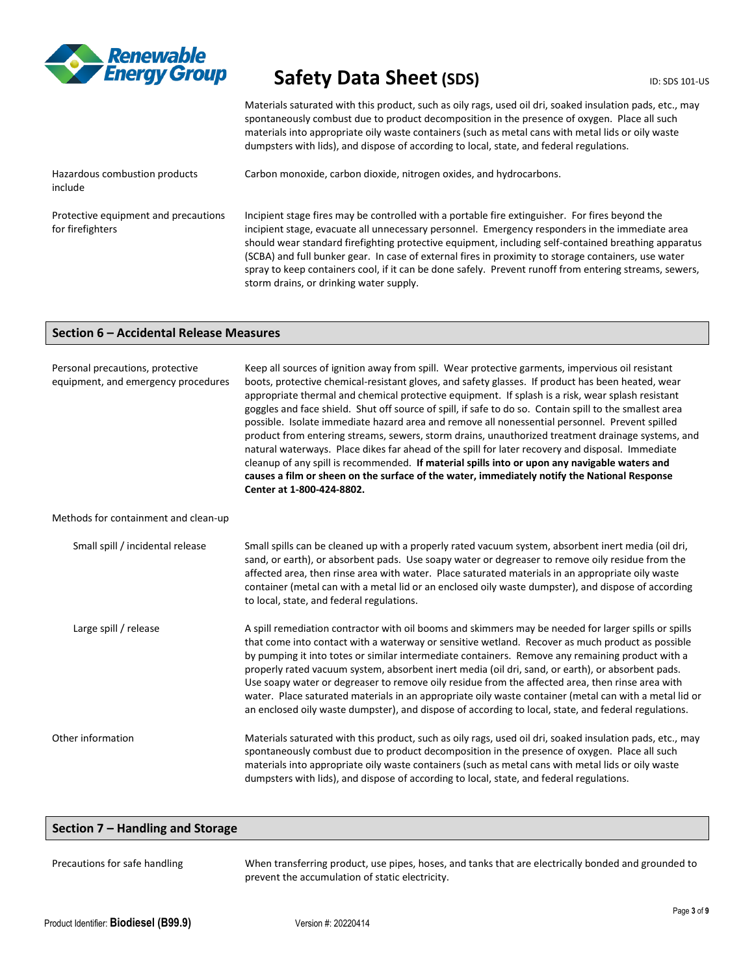

Carbon monoxide, carbon dioxide, nitrogen oxides, and hydrocarbons.

Materials saturated with this product, such as oily rags, used oil dri, soaked insulation pads, etc., may spontaneously combust due to product decomposition in the presence of oxygen. Place all such materials into appropriate oily waste containers (such as metal cans with metal lids or oily waste dumpsters with lids), and dispose of according to local, state, and federal regulations.

Hazardous combustion products include

Protective equipment and precautions for firefighters

Incipient stage fires may be controlled with a portable fire extinguisher. For fires beyond the incipient stage, evacuate all unnecessary personnel. Emergency responders in the immediate area should wear standard firefighting protective equipment, including self-contained breathing apparatus

(SCBA) and full bunker gear. In case of external fires in proximity to storage containers, use water spray to keep containers cool, if it can be done safely. Prevent runoff from entering streams, sewers, storm drains, or drinking water supply.

### **Section 6 – Accidental Release Measures**

| Personal precautions, protective<br>equipment, and emergency procedures | Keep all sources of ignition away from spill. Wear protective garments, impervious oil resistant<br>boots, protective chemical-resistant gloves, and safety glasses. If product has been heated, wear<br>appropriate thermal and chemical protective equipment. If splash is a risk, wear splash resistant<br>goggles and face shield. Shut off source of spill, if safe to do so. Contain spill to the smallest area<br>possible. Isolate immediate hazard area and remove all nonessential personnel. Prevent spilled<br>product from entering streams, sewers, storm drains, unauthorized treatment drainage systems, and<br>natural waterways. Place dikes far ahead of the spill for later recovery and disposal. Immediate<br>cleanup of any spill is recommended. If material spills into or upon any navigable waters and<br>causes a film or sheen on the surface of the water, immediately notify the National Response<br>Center at 1-800-424-8802. |
|-------------------------------------------------------------------------|----------------------------------------------------------------------------------------------------------------------------------------------------------------------------------------------------------------------------------------------------------------------------------------------------------------------------------------------------------------------------------------------------------------------------------------------------------------------------------------------------------------------------------------------------------------------------------------------------------------------------------------------------------------------------------------------------------------------------------------------------------------------------------------------------------------------------------------------------------------------------------------------------------------------------------------------------------------|
| Methods for containment and clean-up                                    |                                                                                                                                                                                                                                                                                                                                                                                                                                                                                                                                                                                                                                                                                                                                                                                                                                                                                                                                                                |
| Small spill / incidental release                                        | Small spills can be cleaned up with a properly rated vacuum system, absorbent inert media (oil dri,<br>sand, or earth), or absorbent pads. Use soapy water or degreaser to remove oily residue from the<br>affected area, then rinse area with water. Place saturated materials in an appropriate oily waste<br>container (metal can with a metal lid or an enclosed oily waste dumpster), and dispose of according<br>to local, state, and federal regulations.                                                                                                                                                                                                                                                                                                                                                                                                                                                                                               |
| Large spill / release                                                   | A spill remediation contractor with oil booms and skimmers may be needed for larger spills or spills<br>that come into contact with a waterway or sensitive wetland. Recover as much product as possible<br>by pumping it into totes or similar intermediate containers. Remove any remaining product with a<br>properly rated vacuum system, absorbent inert media (oil dri, sand, or earth), or absorbent pads.<br>Use soapy water or degreaser to remove oily residue from the affected area, then rinse area with<br>water. Place saturated materials in an appropriate oily waste container (metal can with a metal lid or<br>an enclosed oily waste dumpster), and dispose of according to local, state, and federal regulations.                                                                                                                                                                                                                        |
| Other information                                                       | Materials saturated with this product, such as oily rags, used oil dri, soaked insulation pads, etc., may<br>spontaneously combust due to product decomposition in the presence of oxygen. Place all such<br>materials into appropriate oily waste containers (such as metal cans with metal lids or oily waste<br>dumpsters with lids), and dispose of according to local, state, and federal regulations.                                                                                                                                                                                                                                                                                                                                                                                                                                                                                                                                                    |

## **Section 7 – Handling and Storage**

| Precautions for safe handling | When transferring product, use pipes, hoses, and tanks that are electrically bonded and grounded to<br>prevent the accumulation of static electricity. |
|-------------------------------|--------------------------------------------------------------------------------------------------------------------------------------------------------|
|                               |                                                                                                                                                        |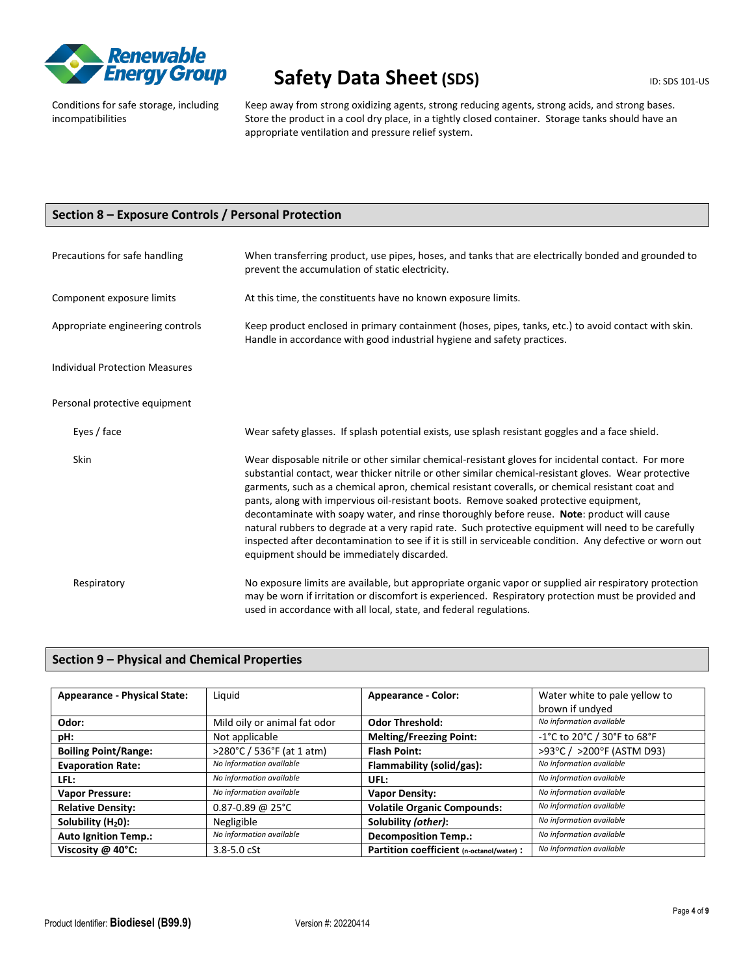

Conditions for safe storage, including incompatibilities

Keep away from strong oxidizing agents, strong reducing agents, strong acids, and strong bases. Store the product in a cool dry place, in a tightly closed container. Storage tanks should have an appropriate ventilation and pressure relief system.

## **Section 8 – Exposure Controls / Personal Protection**

| Precautions for safe handling         | When transferring product, use pipes, hoses, and tanks that are electrically bonded and grounded to<br>prevent the accumulation of static electricity.                                                                                                                                                                                                                                                                                                                                                                                                                                                                                                                                                                                                                      |  |
|---------------------------------------|-----------------------------------------------------------------------------------------------------------------------------------------------------------------------------------------------------------------------------------------------------------------------------------------------------------------------------------------------------------------------------------------------------------------------------------------------------------------------------------------------------------------------------------------------------------------------------------------------------------------------------------------------------------------------------------------------------------------------------------------------------------------------------|--|
| Component exposure limits             | At this time, the constituents have no known exposure limits.                                                                                                                                                                                                                                                                                                                                                                                                                                                                                                                                                                                                                                                                                                               |  |
| Appropriate engineering controls      | Keep product enclosed in primary containment (hoses, pipes, tanks, etc.) to avoid contact with skin.<br>Handle in accordance with good industrial hygiene and safety practices.                                                                                                                                                                                                                                                                                                                                                                                                                                                                                                                                                                                             |  |
| <b>Individual Protection Measures</b> |                                                                                                                                                                                                                                                                                                                                                                                                                                                                                                                                                                                                                                                                                                                                                                             |  |
| Personal protective equipment         |                                                                                                                                                                                                                                                                                                                                                                                                                                                                                                                                                                                                                                                                                                                                                                             |  |
| Eyes / face                           | Wear safety glasses. If splash potential exists, use splash resistant goggles and a face shield.                                                                                                                                                                                                                                                                                                                                                                                                                                                                                                                                                                                                                                                                            |  |
| <b>Skin</b>                           | Wear disposable nitrile or other similar chemical-resistant gloves for incidental contact. For more<br>substantial contact, wear thicker nitrile or other similar chemical-resistant gloves. Wear protective<br>garments, such as a chemical apron, chemical resistant coveralls, or chemical resistant coat and<br>pants, along with impervious oil-resistant boots. Remove soaked protective equipment,<br>decontaminate with soapy water, and rinse thoroughly before reuse. Note: product will cause<br>natural rubbers to degrade at a very rapid rate. Such protective equipment will need to be carefully<br>inspected after decontamination to see if it is still in serviceable condition. Any defective or worn out<br>equipment should be immediately discarded. |  |
| Respiratory                           | No exposure limits are available, but appropriate organic vapor or supplied air respiratory protection<br>may be worn if irritation or discomfort is experienced. Respiratory protection must be provided and<br>used in accordance with all local, state, and federal regulations.                                                                                                                                                                                                                                                                                                                                                                                                                                                                                         |  |

## **Section 9 – Physical and Chemical Properties**

| <b>Appearance - Physical State:</b> | Liquid                       | <b>Appearance - Color:</b>                | Water white to pale yellow to<br>brown if undyed |
|-------------------------------------|------------------------------|-------------------------------------------|--------------------------------------------------|
| Odor:                               | Mild oily or animal fat odor | <b>Odor Threshold:</b>                    | No information available                         |
| pH:                                 | Not applicable               | <b>Melting/Freezing Point:</b>            | -1°C to 20°C / 30°F to 68°F                      |
| <b>Boiling Point/Range:</b>         | >280°C / 536°F (at 1 atm)    | <b>Flash Point:</b>                       | >93°C / >200°F (ASTM D93)                        |
| <b>Evaporation Rate:</b>            | No information available     | Flammability (solid/gas):                 | No information available                         |
| LFL:                                | No information available     | UFL:                                      | No information available                         |
| <b>Vapor Pressure:</b>              | No information available     | <b>Vapor Density:</b>                     | No information available                         |
| <b>Relative Density:</b>            | $0.87 - 0.89$ @ 25°C         | <b>Volatile Organic Compounds:</b>        | No information available                         |
| Solubility $(H20)$ :                | Negligible                   | Solubility (other):                       | No information available                         |
| <b>Auto Ignition Temp.:</b>         | No information available     | <b>Decomposition Temp.:</b>               | No information available                         |
| Viscosity @ 40°C:                   | $3.8 - 5.0$ cSt              | Partition coefficient (n-octanol/water) : | No information available                         |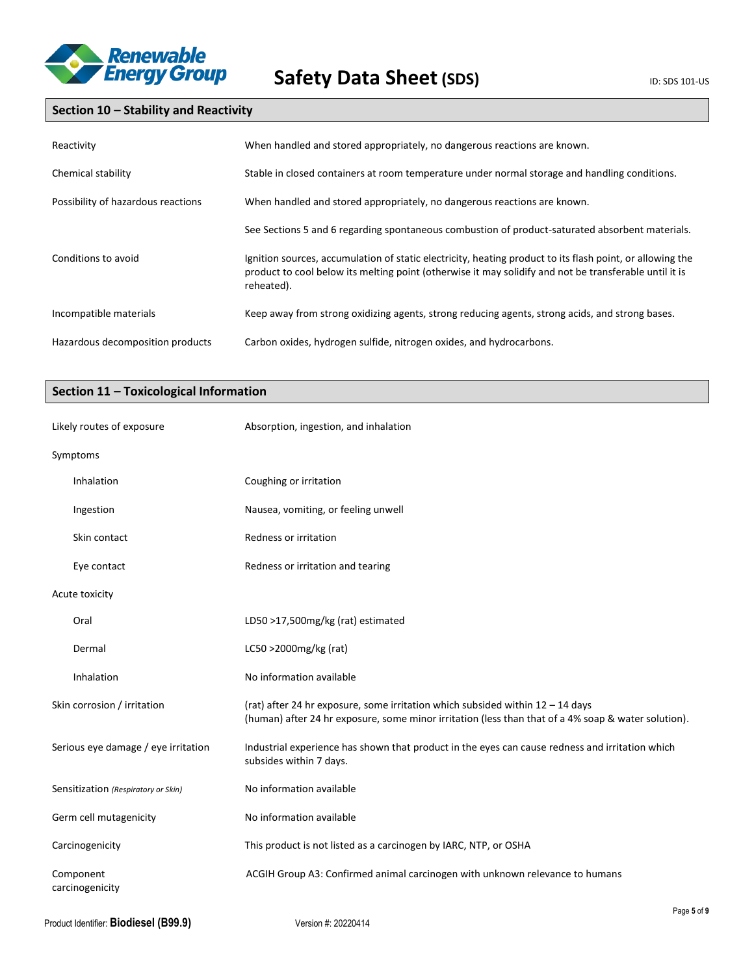

## **Section 10 – Stability and Reactivity**

| Reactivity                         | When handled and stored appropriately, no dangerous reactions are known.                                                                                                                                                          |
|------------------------------------|-----------------------------------------------------------------------------------------------------------------------------------------------------------------------------------------------------------------------------------|
| Chemical stability                 | Stable in closed containers at room temperature under normal storage and handling conditions.                                                                                                                                     |
| Possibility of hazardous reactions | When handled and stored appropriately, no dangerous reactions are known.                                                                                                                                                          |
|                                    | See Sections 5 and 6 regarding spontaneous combustion of product-saturated absorbent materials.                                                                                                                                   |
| Conditions to avoid                | Ignition sources, accumulation of static electricity, heating product to its flash point, or allowing the<br>product to cool below its melting point (otherwise it may solidify and not be transferable until it is<br>reheated). |
| Incompatible materials             | Keep away from strong oxidizing agents, strong reducing agents, strong acids, and strong bases.                                                                                                                                   |
| Hazardous decomposition products   | Carbon oxides, hydrogen sulfide, nitrogen oxides, and hydrocarbons.                                                                                                                                                               |

## **Section 11 – Toxicological Information**

| Likely routes of exposure           | Absorption, ingestion, and inhalation                                                                                                                                                   |
|-------------------------------------|-----------------------------------------------------------------------------------------------------------------------------------------------------------------------------------------|
| Symptoms                            |                                                                                                                                                                                         |
| Inhalation                          | Coughing or irritation                                                                                                                                                                  |
| Ingestion                           | Nausea, vomiting, or feeling unwell                                                                                                                                                     |
| Skin contact                        | Redness or irritation                                                                                                                                                                   |
| Eye contact                         | Redness or irritation and tearing                                                                                                                                                       |
| Acute toxicity                      |                                                                                                                                                                                         |
| Oral                                | LD50 >17,500mg/kg (rat) estimated                                                                                                                                                       |
| Dermal                              | LC50 >2000mg/kg (rat)                                                                                                                                                                   |
| Inhalation                          | No information available                                                                                                                                                                |
| Skin corrosion / irritation         | (rat) after 24 hr exposure, some irritation which subsided within $12 - 14$ days<br>(human) after 24 hr exposure, some minor irritation (less than that of a 4% soap & water solution). |
| Serious eye damage / eye irritation | Industrial experience has shown that product in the eyes can cause redness and irritation which<br>subsides within 7 days.                                                              |
| Sensitization (Respiratory or Skin) | No information available                                                                                                                                                                |
| Germ cell mutagenicity              | No information available                                                                                                                                                                |
| Carcinogenicity                     | This product is not listed as a carcinogen by IARC, NTP, or OSHA                                                                                                                        |
| Component<br>carcinogenicity        | ACGIH Group A3: Confirmed animal carcinogen with unknown relevance to humans                                                                                                            |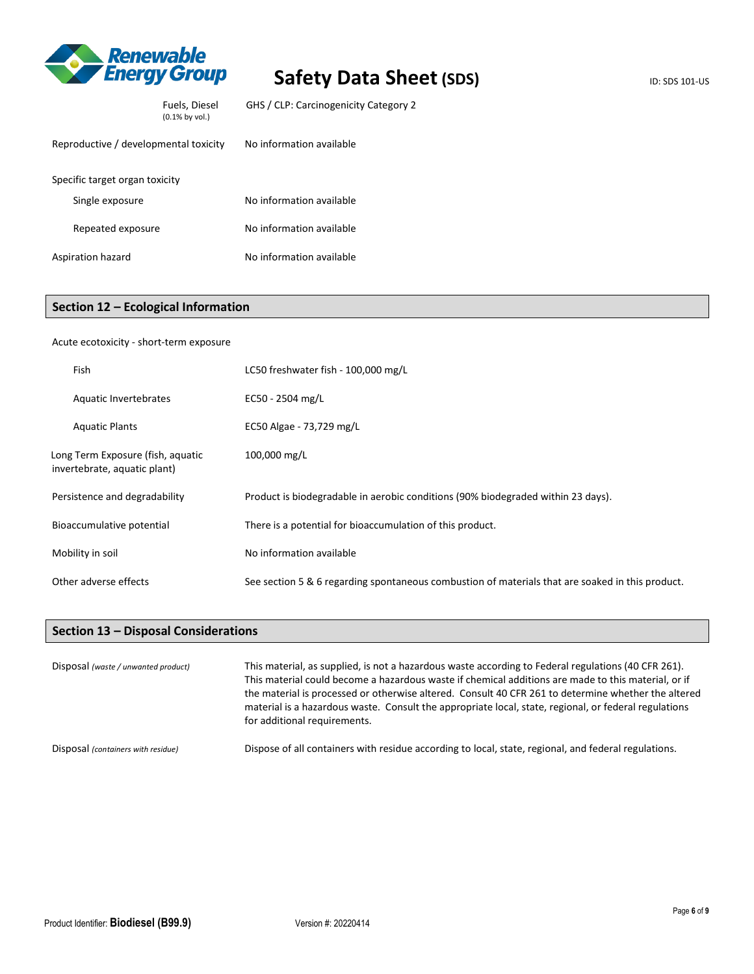

| Reproductive / developmental toxicity | No information available |
|---------------------------------------|--------------------------|
| Specific target organ toxicity        |                          |
| Single exposure                       | No information available |
| Repeated exposure                     | No information available |
| Aspiration hazard                     | No information available |

Fuels, Diesel (0.1% by vol.)

## **Section 12 – Ecological Information**

#### Acute ecotoxicity - short-term exposure

| Fish                                                              | LC50 freshwater fish - 100,000 mg/L                                                              |
|-------------------------------------------------------------------|--------------------------------------------------------------------------------------------------|
| Aquatic Invertebrates                                             | EC50 - 2504 mg/L                                                                                 |
| <b>Aquatic Plants</b>                                             | EC50 Algae - 73,729 mg/L                                                                         |
| Long Term Exposure (fish, aquatic<br>invertebrate, aquatic plant) | 100,000 mg/L                                                                                     |
| Persistence and degradability                                     | Product is biodegradable in aerobic conditions (90% biodegraded within 23 days).                 |
| Bioaccumulative potential                                         | There is a potential for bioaccumulation of this product.                                        |
| Mobility in soil                                                  | No information available                                                                         |
| Other adverse effects                                             | See section 5 & 6 regarding spontaneous combustion of materials that are soaked in this product. |

## **Section 13 – Disposal Considerations**

| Disposal (waste / unwanted product) | This material, as supplied, is not a hazardous waste according to Federal regulations (40 CFR 261).<br>This material could become a hazardous waste if chemical additions are made to this material, or if<br>the material is processed or otherwise altered. Consult 40 CFR 261 to determine whether the altered<br>material is a hazardous waste. Consult the appropriate local, state, regional, or federal regulations<br>for additional requirements. |
|-------------------------------------|------------------------------------------------------------------------------------------------------------------------------------------------------------------------------------------------------------------------------------------------------------------------------------------------------------------------------------------------------------------------------------------------------------------------------------------------------------|
| Disposal (containers with residue)  | Dispose of all containers with residue according to local, state, regional, and federal regulations.                                                                                                                                                                                                                                                                                                                                                       |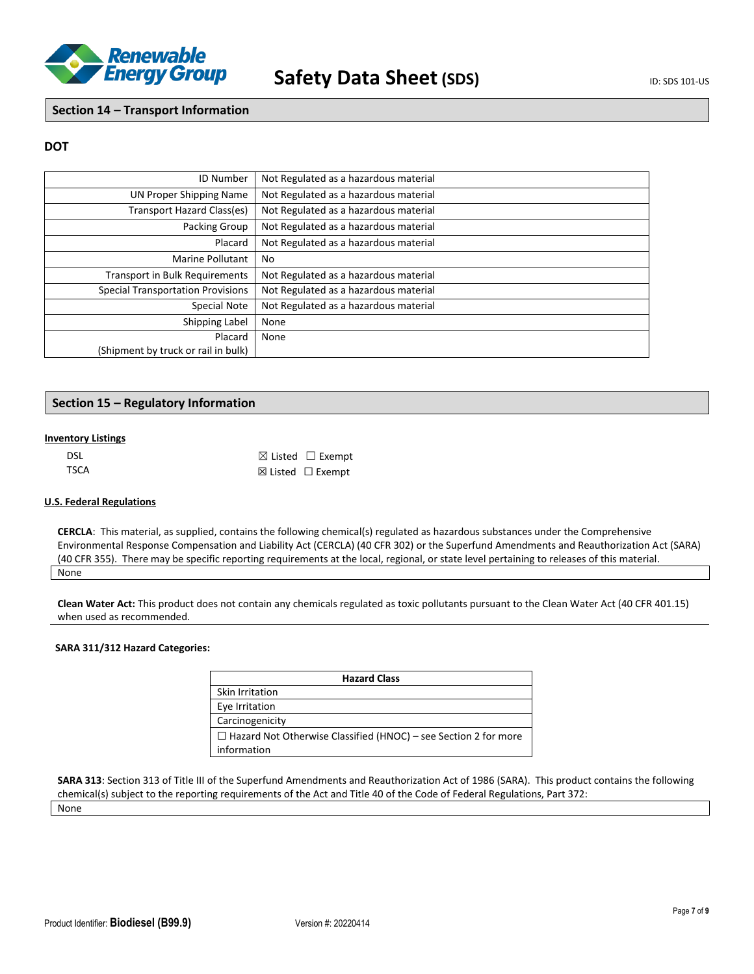

### **Section 14 – Transport Information**

### **DOT**

| <b>ID Number</b>                         | Not Regulated as a hazardous material |
|------------------------------------------|---------------------------------------|
| UN Proper Shipping Name                  | Not Regulated as a hazardous material |
| Transport Hazard Class(es)               | Not Regulated as a hazardous material |
| Packing Group                            | Not Regulated as a hazardous material |
| Placard                                  | Not Regulated as a hazardous material |
| <b>Marine Pollutant</b>                  | No                                    |
| <b>Transport in Bulk Requirements</b>    | Not Regulated as a hazardous material |
| <b>Special Transportation Provisions</b> | Not Regulated as a hazardous material |
| Special Note                             | Not Regulated as a hazardous material |
| Shipping Label                           | None                                  |
| Placard                                  | None                                  |
| (Shipment by truck or rail in bulk)      |                                       |

## **Section 15 – Regulatory Information**

#### **Inventory Listings**

| DSL. | $\boxtimes$ Listed $\Box$ Exempt |
|------|----------------------------------|
| TSCA | $\boxtimes$ Listed $□$ Exempt    |

#### **U.S. Federal Regulations**

**CERCLA**: This material, as supplied, contains the following chemical(s) regulated as hazardous substances under the Comprehensive Environmental Response Compensation and Liability Act (CERCLA) (40 CFR 302) or the Superfund Amendments and Reauthorization Act (SARA) (40 CFR 355). There may be specific reporting requirements at the local, regional, or state level pertaining to releases of this material. None

#### **Clean Water Act:** This product does not contain any chemicals regulated as toxic pollutants pursuant to the Clean Water Act (40 CFR 401.15) when used as recommended.

### **SARA 311/312 Hazard Categories:**

| <b>Hazard Class</b>                                                    |
|------------------------------------------------------------------------|
| Skin Irritation                                                        |
| Eye Irritation                                                         |
| Carcinogenicity                                                        |
| $\Box$ Hazard Not Otherwise Classified (HNOC) – see Section 2 for more |
| information                                                            |

**SARA 313**: Section 313 of Title III of the Superfund Amendments and Reauthorization Act of 1986 (SARA). This product contains the following chemical(s) subject to the reporting requirements of the Act and Title 40 of the Code of Federal Regulations, Part 372:

None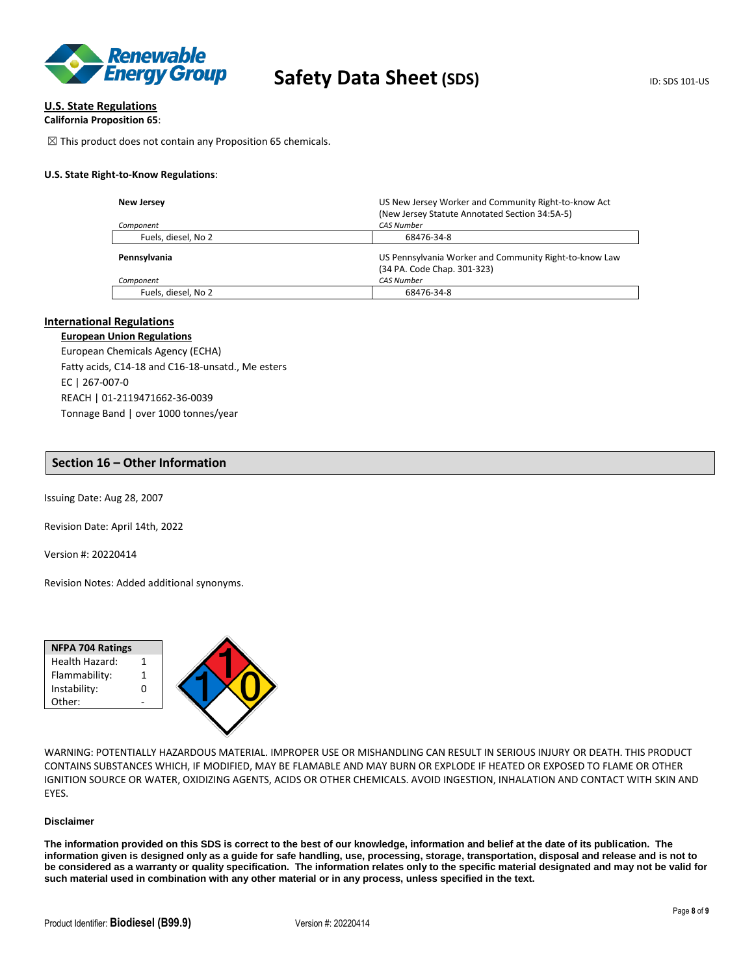

#### **U.S. State Regulations**

```
California Proposition 65:
```
 $\boxtimes$  This product does not contain any Proposition 65 chemicals.

#### **U.S. State Right-to-Know Regulations**:

| <b>New Jersey</b><br>Component | US New Jersey Worker and Community Right-to-know Act<br>(New Jersey Statute Annotated Section 34:5A-5)<br><b>CAS Number</b> |
|--------------------------------|-----------------------------------------------------------------------------------------------------------------------------|
| Fuels, diesel, No 2            | 68476-34-8                                                                                                                  |
| Pennsylvania                   | US Pennsylvania Worker and Community Right-to-know Law<br>(34 PA. Code Chap. 301-323)                                       |
| Component                      | <b>CAS Number</b>                                                                                                           |
| Fuels, diesel, No 2            | 68476-34-8                                                                                                                  |

#### **International Regulations**

#### **European Union Regulations**

European Chemicals Agency (ECHA) Fatty acids, C14-18 and C16-18-unsatd., Me esters EC | 267-007-0 REACH | 01-2119471662-36-0039 Tonnage Band | over 1000 tonnes/year

#### **Section 16 – Other Information**

Issuing Date: Aug 28, 2007

Revision Date: April 14th, 2022

Version #: 20220414

Revision Notes: Added additional synonyms.

| Health Hazard: |  |
|----------------|--|
|                |  |
| Flammability:  |  |
| Instability:   |  |
| Other:         |  |

WARNING: POTENTIALLY HAZARDOUS MATERIAL. IMPROPER USE OR MISHANDLING CAN RESULT IN SERIOUS INJURY OR DEATH. THIS PRODUCT CONTAINS SUBSTANCES WHICH, IF MODIFIED, MAY BE FLAMABLE AND MAY BURN OR EXPLODE IF HEATED OR EXPOSED TO FLAME OR OTHER IGNITION SOURCE OR WATER, OXIDIZING AGENTS, ACIDS OR OTHER CHEMICALS. AVOID INGESTION, INHALATION AND CONTACT WITH SKIN AND EYES.

#### **Disclaimer**

**The information provided on this SDS is correct to the best of our knowledge, information and belief at the date of its publication. The information given is designed only as a guide for safe handling, use, processing, storage, transportation, disposal and release and is not to be considered as a warranty or quality specification. The information relates only to the specific material designated and may not be valid for such material used in combination with any other material or in any process, unless specified in the text.**